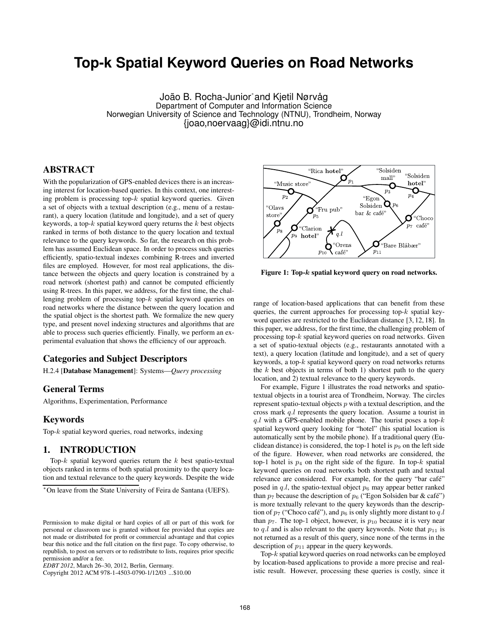# **Top-k Spatial Keyword Queries on Road Networks**

João B. Rocha-Junior<sup>∗</sup> and Kjetil Nørvåg Department of Computer and Information Science Norwegian University of Science and Technology (NTNU), Trondheim, Norway {joao,noervaag}@idi.ntnu.no

# **ABSTRACT**

With the popularization of GPS-enabled devices there is an increasing interest for location-based queries. In this context, one interesting problem is processing top- $k$  spatial keyword queries. Given a set of objects with a textual description (e.g., menu of a restaurant), a query location (latitude and longitude), and a set of query keywords, a top- $k$  spatial keyword query returns the  $k$  best objects ranked in terms of both distance to the query location and textual relevance to the query keywords. So far, the research on this problem has assumed Euclidean space. In order to process such queries efficiently, spatio-textual indexes combining R-trees and inverted files are employed. However, for most real applications, the distance between the objects and query location is constrained by a road network (shortest path) and cannot be computed efficiently using R-trees. In this paper, we address, for the first time, the challenging problem of processing top-k spatial keyword queries on road networks where the distance between the query location and the spatial object is the shortest path. We formalize the new query type, and present novel indexing structures and algorithms that are able to process such queries efficiently. Finally, we perform an experimental evaluation that shows the efficiency of our approach.

# **Categories and Subject Descriptors**

H.2.4 [**Database Management**]: Systems—*Query processing*

# **General Terms**

Algorithms, Experimentation, Performance

#### **Keywords**

Top-k spatial keyword queries, road networks, indexing

# **1. INTRODUCTION**

Top- $k$  spatial keyword queries return the  $k$  best spatio-textual objects ranked in terms of both spatial proximity to the query location and textual relevance to the query keywords. Despite the wide

Copyright 2012 ACM 978-1-4503-0790-1/12/03 ...\$10.00



**Figure 1: Top-**k **spatial keyword query on road networks.**

range of location-based applications that can benefit from these queries, the current approaches for processing top- $k$  spatial keyword queries are restricted to the Euclidean distance [3, 12, 18]. In this paper, we address, for the first time, the challenging problem of processing top-k spatial keyword queries on road networks. Given a set of spatio-textual objects (e.g., restaurants annotated with a text), a query location (latitude and longitude), and a set of query keywords, a top- $k$  spatial keyword query on road networks returns the  $k$  best objects in terms of both 1) shortest path to the query location, and 2) textual relevance to the query keywords.

For example, Figure 1 illustrates the road networks and spatiotextual objects in a tourist area of Trondheim, Norway. The circles represent spatio-textual objects  $p$  with a textual description, and the cross mark q.l represents the query location. Assume a tourist in  $q,l$  with a GPS-enabled mobile phone. The tourist poses a top- $k$ spatial keyword query looking for "hotel" (his spatial location is automatically sent by the mobile phone). If a traditional query (Euclidean distance) is considered, the top-1 hotel is  $p_9$  on the left side of the figure. However, when road networks are considered, the top-1 hotel is  $p_4$  on the right side of the figure. In top- $k$  spatial keyword queries on road networks both shortest path and textual relevance are considered. For example, for the query "bar café" posed in  $q,l$ , the spatio-textual object  $p_6$  may appear better ranked than  $p_7$  because the description of  $p_6$  ("Egon Solsiden bar & café") is more textually relevant to the query keywords than the description of  $p_7$  ("Choco café"), and  $p_6$  is only slightly more distant to q.l than  $p_7$ . The top-1 object, however, is  $p_{10}$  because it is very near to q.l and is also relevant to the query keywords. Note that  $p_{11}$  is not returned as a result of this query, since none of the terms in the description of  $p_{11}$  appear in the query keywords.

Top-k spatial keyword queries on road networks can be employed by location-based applications to provide a more precise and realistic result. However, processing these queries is costly, since it

<sup>∗</sup>On leave from the State University of Feira de Santana (UEFS).

Permission to make digital or hard copies of all or part of this work for personal or classroom use is granted without fee provided that copies are not made or distributed for profit or commercial advantage and that copies bear this notice and the full citation on the first page. To copy otherwise, to republish, to post on servers or to redistribute to lists, requires prior specific permission and/or a fee.

*EDBT 2012*, March 26–30, 2012, Berlin, Germany.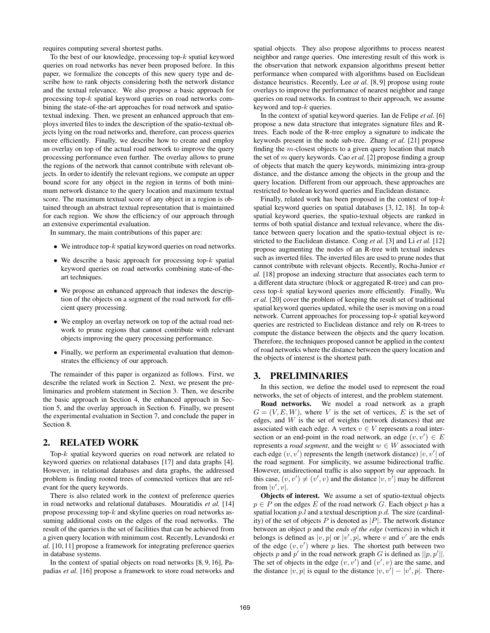requires computing several shortest paths.

To the best of our knowledge, processing top- $k$  spatial keyword queries on road networks has never been proposed before. In this paper, we formalize the concepts of this new query type and describe how to rank objects considering both the network distance and the textual relevance. We also propose a basic approach for processing top-k spatial keyword queries on road networks combining the state-of-the-art approaches for road network and spatiotextual indexing. Then, we present an enhanced approach that employs inverted files to index the description of the spatio-textual objects lying on the road networks and, therefore, can process queries more efficiently. Finally, we describe how to create and employ an overlay on top of the actual road network to improve the query processing performance even further. The overlay allows to prune the regions of the network that cannot contribute with relevant objects. In order to identify the relevant regions, we compute an upper bound score for any object in the region in terms of both minimum network distance to the query location and maximum textual score. The maximum textual score of any object in a region is obtained through an abstract textual representation that is maintained for each region. We show the efficiency of our approach through an extensive experimental evaluation.

In summary, the main contributions of this paper are:

- We introduce top- $k$  spatial keyword queries on road networks.
- We describe a basic approach for processing top- $k$  spatial keyword queries on road networks combining state-of-theart techniques.
- We propose an enhanced approach that indexes the description of the objects on a segment of the road network for efficient query processing.
- We employ an overlay network on top of the actual road network to prune regions that cannot contribute with relevant objects improving the query processing performance.
- Finally, we perform an experimental evaluation that demonstrates the efficiency of our approach.

The remainder of this paper is organized as follows. First, we describe the related work in Section 2. Next, we present the preliminaries and problem statement in Section 3. Then, we describe the basic approach in Section 4, the enhanced approach in Section 5, and the overlay approach in Section 6. Finally, we present the experimental evaluation in Section 7, and conclude the paper in Section 8.

### **2. RELATED WORK**

Top-k spatial keyword queries on road network are related to keyword queries on relational databases [17] and data graphs [4]. However, in relational databases and data graphs, the addressed problem is finding rooted trees of connected vertices that are relevant for the query keywords.

There is also related work in the context of preference queries in road networks and relational databases. Mouratidis *et al.* [14] propose processing top- $k$  and skyline queries on road networks assuming additional costs on the edges of the road networks. The result of the queries is the set of facilities that can be achieved from a given query location with minimum cost. Recently, Levandoski *et al.* [10, 11] propose a framework for integrating preference queries in database systems.

In the context of spatial objects on road networks [8, 9, 16], Papadias *et al.* [16] propose a framework to store road networks and spatial objects. They also propose algorithms to process nearest neighbor and range queries. One interesting result of this work is the observation that network expansion algorithms present better performance when compared with algorithms based on Euclidean distance heuristics. Recently, Lee *at al.* [8, 9] propose using route overlays to improve the performance of nearest neighbor and range queries on road networks. In contrast to their approach, we assume keyword and top-k queries.

In the context of spatial keyword queries. Ian de Felipe *et al.* [6] propose a new data structure that integrates signature files and Rtrees. Each node of the R-tree employ a signature to indicate the keywords present in the node sub-tree. Zhang *et al.* [21] propose finding the m-closest objects to a given query location that match the set of m query keywords. Cao *et al.* [2] propose finding a group of objects that match the query keywords, minimizing intra-group distance, and the distance among the objects in the group and the query location. Different from our approach, these approaches are restricted to boolean keyword queries and Euclidean distance.

Finally, related work has been proposed in the context of top- $k$ spatial keyword queries on spatial databases  $[3, 12, 18]$ . In top- $k$ spatial keyword queries, the spatio-textual objects are ranked in terms of both spatial distance and textual relevance, where the distance between query location and the spatio-textual object is restricted to the Euclidean distance. Cong *et al.* [3] and Li *et al.* [12] propose augmenting the nodes of an R-tree with textual indexes such as inverted files. The inverted files are used to prune nodes that cannot contribute with relevant objects. Recently, Rocha-Junior *et al.* [18] propose an indexing structure that associates each term to a different data structure (block or aggregated R-tree) and can pro- $\cos$  top- $k$  spatial keyword queries more efficiently. Finally, Wu *et al.* [20] cover the problem of keeping the result set of traditional spatial keyword queries updated, while the user is moving on a road network. Current approaches for processing top-k spatial keyword queries are restricted to Euclidean distance and rely on R-trees to compute the distance between the objects and the query location. Therefore, the techniques proposed cannot be applied in the context of road networks where the distance between the query location and the objects of interest is the shortest path.

#### **3. PRELIMINARIES**

In this section, we define the model used to represent the road networks, the set of objects of interest, and the problem statement.

**Road networks.** We model a road network as a graph  $G = (V, E, W)$ , where V is the set of vertices, E is the set of edges, and  $W$  is the set of weights (network distances) that are associated with each edge. A vertex  $v \in V$  represents a road intersection or an end-point in the road network, an edge  $(v, v') \in E$ represents a *road segment*, and the weight  $w \in W$  associated with each edge  $(v, v')$  represents the length (network distance)  $|v, v'|$  of the road segment. For simplicity, we assume bidirectional traffic. However, unidirectional traffic is also support by our approach. In this case,  $(v, v') \neq (v', v)$  and the distance  $|v, v'|$  may be different from  $|v', v|$ .

**Objects of interest.** We assume a set of spatio-textual objects  $p \in P$  on the edges E of the road network G. Each object p has a spatial location  $p.l$  and a textual description  $p.d$ . The size (cardinality) of the set of objects P is denoted as |P|. The network distance between an object p and the *ends of the edge* (vertices) in which it belongs is defined as  $|v, p|$  or  $|v', p|$ , where v and v' are the ends of the edge  $(v, v')$  where p lies. The shortest path between two objects p and p' in the road network graph G is defined as  $||p, p'||$ . The set of objects in the edge  $(v, v')$  and  $(v', v)$  are the same, and the distance  $|v, p|$  is equal to the distance  $|v, v'| - |v', p|$ . There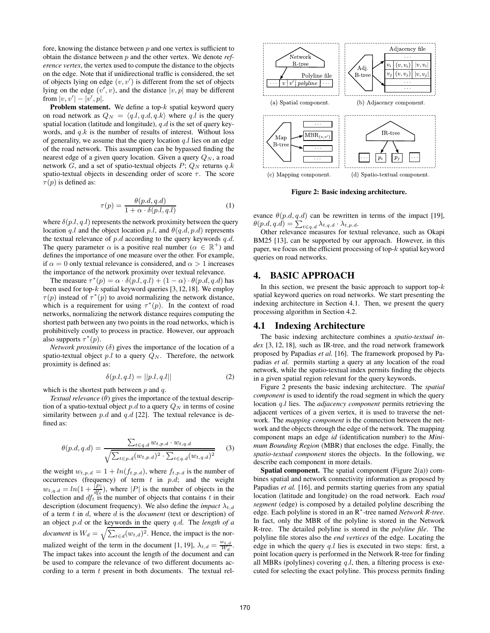fore, knowing the distance between  $p$  and one vertex is sufficient to obtain the distance between p and the other vertex. We denote *reference vertex*, the vertex used to compute the distance to the objects on the edge. Note that if unidirectional traffic is considered, the set of objects lying on edge  $(v, v')$  is different from the set of objects lying on the edge  $(v', v)$ , and the distance  $|v, p|$  may be different from  $|v, v'| - |v', p|.$ 

**Problem statement.** We define a top-k spatial keyword query on road network as  $Q_N = \langle q.l, q.d, q.k \rangle$  where q.l is the query spatial location (latitude and longitude),  $q.d$  is the set of query keywords, and  $q.k$  is the number of results of interest. Without loss of generality, we assume that the query location  $q.l$  lies on an edge of the road network. This assumption can be bypassed finding the nearest edge of a given query location. Given a query  $Q_N$ , a road network G, and a set of spatio-textual objects  $P$ ;  $Q_N$  returns q.k spatio-textual objects in descending order of score  $\tau$ . The score  $\tau(p)$  is defined as:

$$
\tau(p) = \frac{\theta(p.d, q.d)}{1 + \alpha \cdot \delta(p.l, q.l)}\tag{1}
$$

where  $\delta(p,l,q,l)$  represents the network proximity between the query location q.l and the object location p.l, and  $\theta(q.d, p.d)$  represents the textual relevance of  $p.d$  according to the query keywords  $q.d.$ The query parameter  $\alpha$  is a positive real number  $(\alpha \in \mathbb{R}^+)$  and defines the importance of one measure over the other. For example, if  $\alpha = 0$  only textual relevance is considered, and  $\alpha > 1$  increases the importance of the network proximity over textual relevance.

The measure  $\tau^*(p) = \alpha \cdot \delta(p.l, q.l) + (1 - \alpha) \cdot \theta(p.d, q.d)$  has been used for top- $k$  spatial keyword queries [3, 12, 18]. We employ  $\tau(p)$  instead of  $\tau^*(p)$  to avoid normalizing the network distance, which is a requirement for using  $\tau^*(p)$ . In the context of road networks, normalizing the network distance requires computing the shortest path between any two points in the road networks, which is prohibitively costly to process in practice. However, our approach also supports  $\tau^*(p)$ .

*Network proximity* (δ) gives the importance of the location of a spatio-textual object p.l to a query  $Q_N$ . Therefore, the network proximity is defined as:

$$
\delta(p.l, q.l) = ||p.l, q.l|| \tag{2}
$$

which is the shortest path between  $p$  and  $q$ .

*Textual relevance*  $(\theta)$  gives the importance of the textual description of a spatio-textual object p.d to a query  $Q_N$  in terms of cosine similarity between p.d and q.d [22]. The textual relevance is defined as:

$$
\theta(p.d, q.d) = \frac{\sum_{t \in q.d} w_{t,p.d} \cdot w_{t,q.d}}{\sqrt{\sum_{t \in p.d} (w_{t,p.d})^2 \cdot \sum_{t \in q.d} (w_{t,q.d})^2}}
$$
(3)

the weight  $w_{t,p,d} = 1 + ln(f_{t,p,d})$ , where  $f_{t,p,d}$  is the number of occurrences (frequency) of term  $t$  in  $p.d$ ; and the weight  $w_{t,q,d} = ln(1 + \frac{|P|}{dt})$ , where |P| is the number of objects in the collection and  $df_t$  is the number of objects that contains t in their description (document frequency). We also define the *impact*  $\lambda_{t,d}$ of a term t in d, where d is the *document* (text or description) of an object p.d or the keywords in the query q.d. The *length of a document* is  $W_d = \sqrt{\sum_{t \in d} (w_{t,d})^2}$ . Hence, the impact is the normalized weight of the term in the document [1, 19],  $\lambda_{t,d} = \frac{w_{t,d}}{W_t}$  $\frac{W_t,d}{W_d}$ . The impact takes into account the length of the document and can be used to compare the relevance of two different documents according to a term  $t$  present in both documents. The textual rel-



**Figure 2: Basic indexing architecture.**

evance  $\theta(p.d, q.d)$  can be rewritten in terms of the impact [19],  $\theta(p.d,q.d) = \sum_{t \in q.d} \lambda_{t,q.d} \cdot \lambda_{t,p.d.}$ 

Other relevance measures for textual relevance, such as Okapi BM25 [13], can be supported by our approach. However, in this paper, we focus on the efficient processing of top- $k$  spatial keyword queries on road networks.

#### **4. BASIC APPROACH**

In this section, we present the basic approach to support top- $k$ spatial keyword queries on road networks. We start presenting the indexing architecture in Section 4.1. Then, we present the query processing algorithm in Section 4.2.

#### **4.1 Indexing Architecture**

The basic indexing architecture combines a *spatio-textual index* [3, 12, 18], such as IR-tree, and the road network framework proposed by Papadias *et al.* [16]. The framework proposed by Papadias *et al.* permits starting a query at any location of the road network, while the spatio-textual index permits finding the objects in a given spatial region relevant for the query keywords.

Figure 2 presents the basic indexing architecture. The *spatial component* is used to identify the road segment in which the query location q.l lies. The *adjacency component* permits retrieving the adjacent vertices of a given vertex, it is used to traverse the network. The *mapping component* is the connection between the network and the objects through the edge of the network. The mapping component maps an edge *id* (identification number) to the *Minimum Bounding Region* (MBR) that encloses the edge. Finally, the *spatio-textual component* stores the objects. In the following, we describe each component in more details.

**Spatial component.** The spatial component (Figure 2(a)) combines spatial and network connectivity information as proposed by Papadias *et al.* [16], and permits starting queries from any spatial location (latitude and longitude) on the road network. Each *road segment* (edge) is composed by a detailed polyline describing the edge. Each polyline is stored in an R<sup>∗</sup> -tree named *Network R-tree*. In fact, only the MBR of the polyline is stored in the Network R-tree. The detailed polyline is stored in the *polyline file*. The polyline file stores also the *end vertices* of the edge. Locating the edge in which the query  $q.l$  lies is executed in two steps: first, a point location query is performed in the Network R-tree for finding all MBRs (polylines) covering  $q.l$ , then, a filtering process is executed for selecting the exact polyline. This process permits finding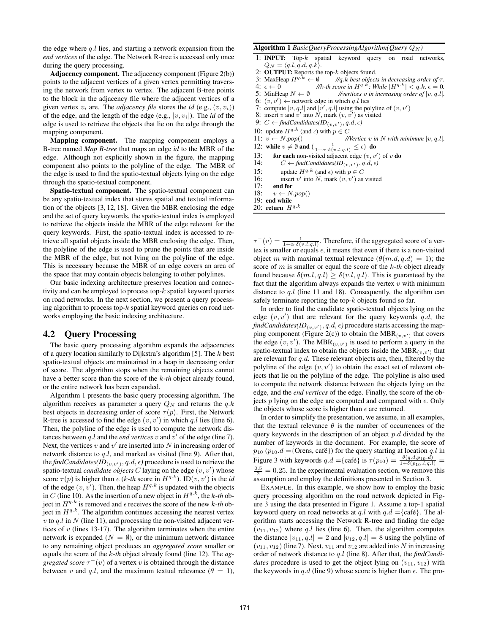the edge where  $q$ . l lies, and starting a network expansion from the *end vertices* of the edge. The Network R-tree is accessed only once during the query processing.

**Adjacency component.** The adjacency component (Figure 2(b)) points to the adjacent vertices of a given vertex permitting traversing the network from vertex to vertex. The adjacent B-tree points to the block in the adjacency file where the adjacent vertices of a given vertex  $v_i$  are. The *adjacency file* stores the *id* (e.g.,  $(v, v_i)$ ) of the edge, and the length of the edge (e.g.,  $|v, v_i|$ ). The *id* of the edge is used to retrieve the objects that lie on the edge through the mapping component.

**Mapping component.** The mapping component employs a B-tree named *Map B-tree* that maps an edge *id* to the MBR of the edge. Although not explicitly shown in the figure, the mapping component also points to the polyline of the edge. The MBR of the edge is used to find the spatio-textual objects lying on the edge through the spatio-textual component.

**Spatio-textual component.** The spatio-textual component can be any spatio-textual index that stores spatial and textual information of the objects [3, 12, 18]. Given the MBR enclosing the edge and the set of query keywords, the spatio-textual index is employed to retrieve the objects inside the MBR of the edge relevant for the query keywords. First, the spatio-textual index is accessed to retrieve all spatial objects inside the MBR enclosing the edge. Then, the polyline of the edge is used to prune the points that are inside the MBR of the edge, but not lying on the polyline of the edge. This is necessary because the MBR of an edge covers an area of the space that may contain objects belonging to other polylines.

Our basic indexing architecture preserves location and connectivity and can be employed to process top- $k$  spatial keyword queries on road networks. In the next section, we present a query processing algorithm to process top- $k$  spatial keyword queries on road networks employing the basic indexing architecture.

#### **4.2 Query Processing**

The basic query processing algorithm expands the adjacencies of a query location similarly to Dijkstra's algorithm [5]. The  $k$  best spatio-textual objects are maintained in a heap in decreasing order of score. The algorithm stops when the remaining objects cannot have a better score than the score of the k-*th* object already found, or the entire network has been expanded.

Algorithm 1 presents the basic query processing algorithm. The algorithm receives as parameter a query  $Q_N$  and returns the  $q.k$ best objects in decreasing order of score  $\tau(p)$ . First, the Network R-tree is accessed to find the edge  $(v, v')$  in which q.l lies (line 6). Then, the polyline of the edge is used to compute the network distances between  $q$ .l and the *end vertices*  $v$  and  $v'$  of the edge (line 7). Next, the vertices  $v$  and  $v'$  are inserted into  $N$  in increasing order of network distance to  $q.l$ , and marked as visited (line 9). After that, the *findCandidates(ID*<sub>(v,v')</sub>,  $q.d$ ,  $\epsilon$ ) procedure is used to retrieve the spatio-textual *candidate objects*  $C$  laying on the edge  $(v, v')$  whose score  $\tau(p)$  is higher than e (k-th score in  $H^{q,k}$ ).  $ID(v, v')$  is the *id* of the edge  $(v, v')$ . Then, the heap  $H^{q,k}$  is updated with the objects in C (line 10). As the insertion of a new object in  $H^{q,k}$ , the k-th object in  $H^{q,k}$  is removed and  $\epsilon$  receives the score of the new k-th object in  $H^{q,k}$ . The algorithm continues accessing the nearest vertex  $v$  to  $q.l$  in N (line 11), and processing the non-visited adjacent vertices of  $v$  (lines 13-17). The algorithm terminates when the entire network is expanded ( $N = \emptyset$ ), or the minimum network distance to any remaining object produces an *aggregated score* smaller or equals the score of the k-*th* object already found (line 12). The *aggregated score*  $\tau^-(v)$  of a vertex v is obtained through the distance between v and q.l, and the maximum textual relevance ( $\theta = 1$ ),

#### **Algorithm 1** *BasicQueryProcessingAlgorithm(Query*  $Q_N$ )

- 1: **INPUT:** Top-k spatial keyword query on road networks,  $Q_N = \langle q.l, q.d, q.k \rangle.$
- 2: **OUTPUT:** Reports the top-k objects found.
- 3: MaxHeap  $H^{q,k} \leftarrow \emptyset$  *//q.k best objects in decreasing order of*  $\tau$ *.* 4: MaxHeap  $H^{q,k} \leftarrow \emptyset$  //q.k best objects in decreasing order of  $\tau$ .<br>4:  $\epsilon \leftarrow 0$  //k-th score in  $H^{q,k}$ ; While  $|H^{q,k}| < q.k$ ,  $\epsilon = 0$ .<br>5: MinHeap  $N \leftarrow \emptyset$  //vertices v in increasing order of |v, q.l.
- 
- //vertices  $v$  in increasing order of  $|v, q,l|$ *.*
- 6:  $(v, v') \leftarrow$  network edge in which q.l lies
- 7: compute  $|v, q,l|$  and  $|v', q.l|$  using the polyline of  $(v, v')$
- 8: insert v and v' into N, mark  $(v, v')$  as visited
- 9:  $C \leftarrow \textit{findC} \textit{andidates} (\textit{ID}_{(v, v')}, q.d, \epsilon)$
- 10: update  $H^{q,k}$  (and  $\epsilon$ ) with  $p \in C$
- 11:  $v \leftarrow N.pop()$  //Vertice v in N with minimum  $|v, q,l|$ *.*
- 12: **while**  $v \neq \emptyset$  and  $\left( \frac{1}{1+\alpha \cdot \delta(v \cdot l, q \cdot l)} \leq \epsilon \right)$  do
- 13: **for each** non-visited adjacent edge  $(v, v')$  of v **do**
- 14:  $C \leftarrow \text{findC} \text{ and } \text{idates}(ID_{(v,v')}, q.d, \epsilon)$
- 
- 15: update  $H^{q,k}$  (and  $\epsilon$ ) with  $p \in C$ <br>16: insert v' into N, mark  $(v, v')$  as 16: insert  $v'$  into N, mark  $(v, v')$  as visited
- 
- 17: **end for**<br>18:  $v \leftarrow N$
- $v \leftarrow N.pop()$ 19: **end while**
- 20: **return**  $H^{q,k}$
- 

 $\tau^{-}(v) = \frac{1}{1 + \alpha \cdot \delta(v \cdot l, q \cdot l)}$ . Therefore, if the aggregated score of a vertex is smaller or equals  $\epsilon$ , it means that even if there is a non-visited object m with maximal textual relevance  $(\theta(m.d, q.d) = 1)$ ; the score of m is smaller or equal the score of the k-*th* object already found because  $\delta(m.l, q.l) \geq \delta(v.l, q.l)$ . This is guaranteed by the fact that the algorithm always expands the vertex  $v$  with minimum distance to  $q.l$  (line 11 and 18). Consequently, the algorithm can safely terminate reporting the top- $k$  objects found so far.

In order to find the candidate spatio-textual objects lying on the edge  $(v, v')$  that are relevant for the query keywords q.d, the findCandidates(ID $_{(v, v')}, q.d, \epsilon$ ) procedure starts accessing the mapping component (Figure 2(c)) to obtain the MBR $_{(v,v')}$  that covers the edge  $(v, v')$ . The MBR $_{(v, v')}$  is used to perform a query in the spatio-textual index to obtain the objects inside the  $MBR_{(v,v')}$  that are relevant for q.d. These relevant objects are, then, filtered by the polyline of the edge  $(v, v')$  to obtain the exact set of relevant objects that lie on the polyline of the edge. The polyline is also used to compute the network distance between the objects lying on the edge, and the *end vertices* of the edge. Finally, the score of the objects p lying on the edge are computed and compared with  $\epsilon$ . Only the objects whose score is higher than  $\epsilon$  are returned.

In order to simplify the presentation, we assume, in all examples, that the textual relevance  $\theta$  is the number of occurrences of the query keywords in the description of an object  $p.d$  divided by the number of keywords in the document. For example, the score of  $p_{10}$  ( $p_{10}.d$  ={Orens, café}) for the query starting at location q.l in Figure 3 with keywords  $q.d = \{\text{caf\'e}\}\$ is  $\tau(p_{10}) = \frac{\theta(q.d, p_{10}.d)}{1+\delta(p_{10}.l,q.l)}$  $\frac{0.5}{2} = 0.25$ . In the experimental evaluation section, we remove this assumption and employ the definitions presented in Section 3.

EXAMPLE. In this example, we show how to employ the basic query processing algorithm on the road network depicted in Figure 3 using the data presented in Figure 1. Assume a top-1 spatial keyword query on road networks at q.l with  $q.d = \{ \text{caf\'e} \}.$  The algorithm starts accessing the Network R-tree and finding the edge  $(v_{11}, v_{12})$  where q.l lies (line 6). Then, the algorithm computes the distance  $|v_{11}, q,l| = 2$  and  $|v_{12}, q.l| = 8$  using the polyline of  $(v_{11}, v_{12})$  (line 7). Next,  $v_{11}$  and  $v_{12}$  are added into N in increasing order of network distance to q.l (line 8). After that, the *findCandidates* procedure is used to get the object lying on  $(v_{11}, v_{12})$  with the keywords in q.d (line 9) whose score is higher than  $\epsilon$ . The pro-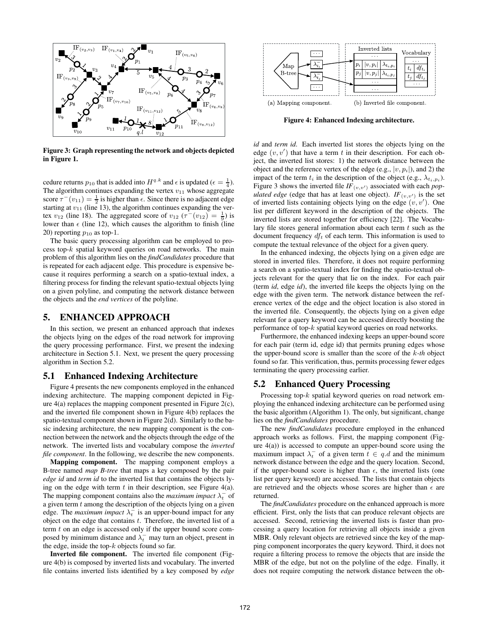

**Figure 3: Graph representing the network and objects depicted in Figure 1.**

cedure returns  $p_{10}$  that is added into  $H^{q,k}$  and  $\epsilon$  is updated  $(\epsilon = \frac{1}{4})$ . The algorithm continues expanding the vertex  $v_{11}$  whose aggregate score  $\tau^{-}(v_{11}) = \frac{1}{2}$  is higher than  $\epsilon$ . Since there is no adjacent edge starting at  $v_{11}$  (line 13), the algorithm continues expanding the vertex  $v_{12}$  (line 18). The aggregated score of  $v_{12}$  ( $\tau^{-}(v_{12}) = \frac{1}{9}$ ) is lower than  $\epsilon$  (line 12), which causes the algorithm to finish (line 20) reporting  $p_{10}$  as top-1.

The basic query processing algorithm can be employed to pro- $\cos$  top- $k$  spatial keyword queries on road networks. The main problem of this algorithm lies on the *findCandidates* procedure that is repeated for each adjacent edge. This procedure is expensive because it requires performing a search on a spatio-textual index, a filtering process for finding the relevant spatio-textual objects lying on a given polyline, and computing the network distance between the objects and the *end vertices* of the polyline.

#### **5. ENHANCED APPROACH**

In this section, we present an enhanced approach that indexes the objects lying on the edges of the road network for improving the query processing performance. First, we present the indexing architecture in Section 5.1. Next, we present the query processing algorithm in Section 5.2.

#### **5.1 Enhanced Indexing Architecture**

Figure 4 presents the new components employed in the enhanced indexing architecture. The mapping component depicted in Figure 4(a) replaces the mapping component presented in Figure 2(c), and the inverted file component shown in Figure 4(b) replaces the spatio-textual component shown in Figure 2(d). Similarly to the basic indexing architecture, the new mapping component is the connection between the network and the objects through the edge of the network. The inverted lists and vocabulary compose the *inverted file component*. In the following, we describe the new components.

**Mapping component.** The mapping component employs a B-tree named *map B-tree* that maps a key composed by the pair *edge id* and *term id* to the inverted list that contains the objects lying on the edge with term  $t$  in their description, see Figure 4(a). The mapping component contains also the *maximum impact*  $\lambda_t^-$  of a given term  $t$  among the description of the objects lying on a given edge. The *maximum impact*  $\lambda_t^-$  is an upper-bound impact for any object on the edge that contains  $t$ . Therefore, the inverted list of a term t on an edge is accessed only if the upper bound score composed by minimum distance and  $\lambda_t^-$  may turn an object, present in the edge, inside the top- $k$  objects found so far.

**Inverted file component.** The inverted file component (Figure 4(b) is composed by inverted lists and vocabulary. The inverted file contains inverted lists identified by a key composed by *edge*



**Figure 4: Enhanced Indexing architecture.**

*id* and *term id*. Each inverted list stores the objects lying on the edge  $(v, v')$  that have a term t in their description. For each object, the inverted list stores: 1) the network distance between the object and the reference vertex of the edge (e.g.,  $|v, p_i|$ ), and 2) the impact of the term  $t_i$  in the description of the object (e.g.,  $\lambda_{t_i,p_i}$ ). Figure 3 shows the inverted file  $IF_{(v,v')}$  associated with each *populated edge* (edge that has at least one object).  $IF_{(v,v')}$  is the set of inverted lists containing objects lying on the edge  $(v, v')$ . One list per different keyword in the description of the objects. The inverted lists are stored together for efficiency [22]. The Vocabulary file stores general information about each term  $t$  such as the document frequency  $df_t$  of each term. This information is used to compute the textual relevance of the object for a given query.

In the enhanced indexing, the objects lying on a given edge are stored in inverted files. Therefore, it does not require performing a search on a spatio-textual index for finding the spatio-textual objects relevant for the query that lie on the index. For each pair (term *id*, edge *id*), the inverted file keeps the objects lying on the edge with the given term. The network distance between the reference vertex of the edge and the object location is also stored in the inverted file. Consequently, the objects lying on a given edge relevant for a query keyword can be accessed directly boosting the performance of top-k spatial keyword queries on road networks.

Furthermore, the enhanced indexing keeps an upper-bound score for each pair (term id, edge id) that permits pruning edges whose the upper-bound score is smaller than the score of the k*-th* object found so far. This verification, thus, permits processing fewer edges terminating the query processing earlier.

#### **5.2 Enhanced Query Processing**

Processing top-k spatial keyword queries on road network employing the enhanced indexing architecture can be performed using the basic algorithm (Algorithm 1). The only, but significant, change lies on the *findCandidates* procedure.

The new *findCandidates* procedure employed in the enhanced approach works as follows. First, the mapping component (Figure  $4(a)$ ) is accessed to compute an upper-bound score using the maximum impact  $\lambda_t^-$  of a given term  $t \in q.d$  and the minimum network distance between the edge and the query location. Second, if the upper-bound score is higher than  $\epsilon$ , the inverted lists (one list per query keyword) are accessed. The lists that contain objects are retrieved and the objects whose scores are higher than  $\epsilon$  are returned.

The *findCandidates* procedure on the enhanced approach is more efficient. First, only the lists that can produce relevant objects are accessed. Second, retrieving the inverted lists is faster than processing a query location for retrieving all objects inside a given MBR. Only relevant objects are retrieved since the key of the mapping component incorporates the query keyword. Third, it does not require a filtering process to remove the objects that are inside the MBR of the edge, but not on the polyline of the edge. Finally, it does not require computing the network distance between the ob-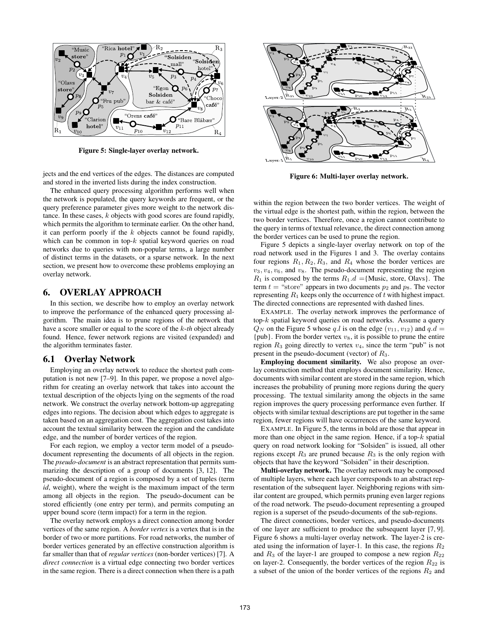

**Figure 5: Single-layer overlay network.**

jects and the end vertices of the edges. The distances are computed and stored in the inverted lists during the index construction.

The enhanced query processing algorithm performs well when the network is populated, the query keywords are frequent, or the query preference parameter gives more weight to the network distance. In these cases, k objects with good scores are found rapidly, which permits the algorithm to terminate earlier. On the other hand, it can perform poorly if the  $k$  objects cannot be found rapidly, which can be common in top- $k$  spatial keyword queries on road networks due to queries with non-popular terms, a large number of distinct terms in the datasets, or a sparse network. In the next section, we present how to overcome these problems employing an overlay network.

#### **6. OVERLAY APPROACH**

In this section, we describe how to employ an overlay network to improve the performance of the enhanced query processing algorithm. The main idea is to prune regions of the network that have a score smaller or equal to the score of the k-*th* object already found. Hence, fewer network regions are visited (expanded) and the algorithm terminates faster.

#### **6.1 Overlay Network**

Employing an overlay network to reduce the shortest path computation is not new [7–9]. In this paper, we propose a novel algorithm for creating an overlay network that takes into account the textual description of the objects lying on the segments of the road network. We construct the overlay network bottom-up aggregating edges into regions. The decision about which edges to aggregate is taken based on an aggregation cost. The aggregation cost takes into account the textual similarity between the region and the candidate edge, and the number of border vertices of the region.

For each region, we employ a vector term model of a pseudodocument representing the documents of all objects in the region. The *pseudo-document* is an abstract representation that permits summarizing the description of a group of documents [3, 12]. The pseudo-document of a region is composed by a set of tuples (term *id*, weight), where the weight is the maximum impact of the term among all objects in the region. The pseudo-document can be stored efficiently (one entry per term), and permits computing an upper bound score (term impact) for a term in the region.

The overlay network employs a direct connection among border vertices of the same region. A *border vertex* is a vertex that is in the border of two or more partitions. For road networks, the number of border vertices generated by an effective construction algorithm is far smaller than that of *regular vertices* (non-border vertices) [7]. A *direct connection* is a virtual edge connecting two border vertices in the same region. There is a direct connection when there is a path



**Figure 6: Multi-layer overlay network.**

within the region between the two border vertices. The weight of the virtual edge is the shortest path, within the region, between the two border vertices. Therefore, once a region cannot contribute to the query in terms of textual relevance, the direct connection among the border vertices can be used to prune the region.

Figure 5 depicts a single-layer overlay network on top of the road network used in the Figures 1 and 3. The overlay contains four regions  $R_1, R_2, R_3$ , and  $R_4$  whose the border vertices are  $v_3, v_4, v_6$ , and  $v_8$ . The pseudo-document representing the region  $R_1$  is composed by the terms  $R_1.d =$ {Music, store, Olavs}. The term  $t =$  "store" appears in two documents  $p_2$  and  $p_8$ . The vector representing  $R_1$  keeps only the occurrence of t with highest impact. The directed connections are represented with dashed lines.

EXAMPLE. The overlay network improves the performance of top- $k$  spatial keyword queries on road networks. Assume a query  $Q_N$  on the Figure 5 whose q.l is on the edge  $(v_{11}, v_{12})$  and  $q.d =$  ${pub}.$  From the border vertex  $v_8$ , it is possible to prune the entire region  $R_3$  going directly to vertex  $v_4$ , since the term "pub" is not present in the pseudo-document (vector) of  $R_3$ .

**Employing document similarity.** We also propose an overlay construction method that employs document similarity. Hence, documents with similar content are stored in the same region, which increases the probability of pruning more regions during the query processing. The textual similarity among the objects in the same region improves the query processing performance even further. If objects with similar textual descriptions are put together in the same region, fewer regions will have occurrences of the same keyword.

EXAMPLE. In Figure 5, the terms in bold are those that appear in more than one object in the same region. Hence, if a top-k spatial query on road network looking for "Solsiden" is issued, all other regions except  $R_3$  are pruned because  $R_3$  is the only region with objects that have the keyword "Solsiden" in their description.

**Multi-overlay network.** The overlay network may be composed of multiple layers, where each layer corresponds to an abstract representation of the subsequent layer. Neighboring regions with similar content are grouped, which permits pruning even larger regions of the road network. The pseudo-document representing a grouped region is a superset of the pseudo-documents of the sub-regions.

The direct connections, border vertices, and pseudo-documents of one layer are sufficient to produce the subsequent layer [7, 9]. Figure 6 shows a multi-layer overlay network. The layer-2 is created using the information of layer-1. In this case, the regions  $R_2$ and  $R_3$  of the layer-1 are grouped to compose a new region  $R_{22}$ on layer-2. Consequently, the border vertices of the region  $R_{22}$  is a subset of the union of the border vertices of the regions  $R_2$  and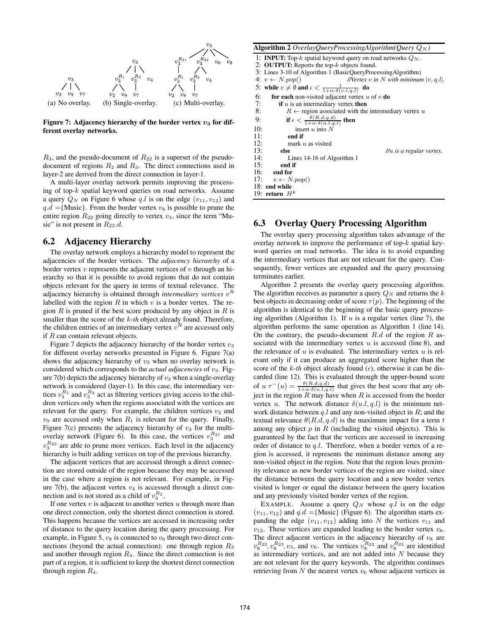

**Figure 7:** Adjacency hierarchy of the border vertex  $v_3$  for dif**ferent overlay networks.**

 $R_3$ , and the pseudo-document of  $R_{22}$  is a superset of the pseudodocument of regions  $R_2$  and  $R_3$ . The direct connections used in layer-2 are derived from the direct connection in layer-1.

A multi-layer overlay network permits improving the processing of top-k spatial keyword queries on road networks. Assume a query  $Q_N$  on Figure 6 whose q.l is on the edge  $(v_{11}, v_{12})$  and  $q.d =$ {Music}. From the border vertex  $v_8$  is possible to prune the entire region  $R_{22}$  going directly to vertex  $v_3$ , since the term "Music" is not present in  $R_{22}.d$ .

# **6.2 Adjacency Hierarchy**

The overlay network employs a hierarchy model to represent the adjacencies of the border vertices. The *adjacency hierarchy* of a border vertex  $v$  represents the adjacent vertices of  $v$  through an hierarchy so that it is possible to avoid regions that do not contain objects relevant for the query in terms of textual relevance. The adjacency hierarchy is obtained through *intermediary vertices* v R labelled with the region  $R$  in which  $v$  is a border vertex. The region  $R$  is pruned if the best score produced by any object in  $R$  is smaller than the score of the k-*th* object already found. Therefore, the children entries of an intermediary vertex  $v<sup>R</sup>$  are accessed only if  $R$  can contain relevant objects.

Figure 7 depicts the adjacency hierarchy of the border vertex  $v_3$ for different overlay networks presented in Figure 6. Figure  $7(a)$ shows the adjacency hierarchy of  $v_3$  when no overlay network is considered which corresponds to the *actual adjacencies* of v3. Figure 7(b) depicts the adjacency hierarchy of  $v_3$  when a single-overlay network is considered (layer-1). In this case, the intermediary vertices  $v_3^{R_1}$  and  $v_3^{R_2}$  act as filtering vertices giving access to the children vertices only when the regions associated with the vertices are relevant for the query. For example, the children vertices  $v_2$  and  $v_9$  are accessed only when  $R_1$  is relevant for the query. Finally, Figure 7(c) presents the adjacency hierarchy of  $v_3$  for the multioverlay network (Figure 6). In this case, the vertices  $v_3^{R_{21}}$  and  $v_3^{R_{22}}$  are able to prune more vertices. Each level in the adjacency hierarchy is built adding vertices on top of the previous hierarchy.

The adjacent vertices that are accessed through a direct connection are stored outside of the region because they may be accessed in the case where a region is not relevant. For example, in Figure 7(b), the adjacent vertex  $v_4$  is accessed through a direct connection and is not stored as a child of  $v_3^{R_2}$ .

If one vertex  $v$  is adjacent to another vertex  $u$  through more than one direct connection, only the shortest direct connection is stored. This happens because the vertices are accessed in increasing order of distance to the query location during the query processing. For example, in Figure 5,  $v_8$  is connected to  $v_6$  through two direct connections (beyond the actual connection): one through region  $R_3$ and another through region  $R_4$ . Since the direct connection is not part of a region, it is sufficient to keep the shortest direct connection through region  $R_4$ .

 $\Lambda$ lgorithm 2 *OverlayQueryProcessingAlgorithm(Query* 1: **INPUT:** Top-k spatial keyword query on road networks 2: **OUTPUT:** Reports the top-k objects found. 3: Lines 3-10 of Algorithm 1 (BasicQueryProcessingAlgorithm) 4:  $v \leftarrow N.pop()$  //Vertex *v* in *N* with minimum  $|v, q,l|$ . 5: while  $v \neq \emptyset$  and  $\epsilon < \frac{1}{1+\alpha \cdot \delta(v.l,q.l)}$  do 6: **for each** non-visited adjacent vertex u of v **do** 7: **if** u is an intermediary vertex **then** if u is an intermediary vertex then 8:  $R \leftarrow$  region associated with the intermediary vertex u 9: **if**  $\epsilon < \frac{\theta(R.d,q.d)}{1+\alpha \cdot \delta(u.l,q.l)}$  then 10: insert  $u$  into  $N$ 11: **end if**<br>12: **mark** *i* 12: mark u as visited<br>13: else 13: **else** *//u is a regular vertex.*<br>14: Lines 14-16 of Algorithm 1 14: Lines 14-16 of Algorithm 1<br>15: **end if** end if 16: **end for**<br>17:  $v \leftarrow N$  $v \leftarrow N.pop()$ 18: **end while** 19: **return**  $H^k$ 

#### **6.3 Overlay Query Processing Algorithm**

The overlay query processing algorithm takes advantage of the overlay network to improve the performance of top- $k$  spatial keyword queries on road networks. The idea is to avoid expanding the intermediary vertices that are not relevant for the query. Consequently, fewer vertices are expanded and the query processing terminates earlier.

Algorithm 2 presents the overlay query processing algorithm. The algorithm receives as parameter a query  $Q_N$  and returns the k best objects in decreasing order of score  $\tau(p)$ . The beginning of the algorithm is identical to the beginning of the basic query processing algorithm (Algorithm 1). If  $u$  is a regular vertex (line 7), the algorithm performs the same operation as Algorithm 1 (line 14). On the contrary, the pseudo-document  $R.d$  of the region  $R$  associated with the intermediary vertex  $u$  is accessed (line 8), and the relevance of  $u$  is evaluated. The intermediary vertex  $u$  is relevant only if it can produce an aggregated score higher than the score of the k-th object already found  $(\epsilon)$ , otherwise it can be discarded (line 12). This is evaluated through the upper-bound score of  $u \tau^{-}(u) = \frac{\theta(R,d,q,d)}{1+\alpha \cdot \delta(u,l,q,l)}$  that gives the best score that any object in the region  $R$  may have when  $R$  is accessed from the border vertex u. The network distance  $\delta(u.l, q.l)$  is the minimum network distance between  $q.l$  and any non-visited object in  $R$ ; and the textual relevance  $\theta(R.d, q.d)$  is the maximum impact for a term t among any object  $p$  in  $R$  (including the visited objects). This is guaranteed by the fact that the vertices are accessed in increasing order of distance to q.l. Therefore, when a border vertex of a region is accessed, it represents the minimum distance among any non-visited object in the region. Note that the region loses proximity relevance as new border vertices of the region are visited, since the distance between the query location and a new border vertex visited is longer or equal the distance between the query location and any previously visited border vertex of the region.

EXAMPLE. Assume a query  $Q_N$  whose q.l is on the edge  $(v_{11}, v_{12})$  and  $q.d =$ {Music} (Figure 6). The algorithm starts expanding the edge  $(v_{11}, v_{12})$  adding into N the vertices  $v_{11}$  and  $v_{12}$ . These vertices are expanded leading to the border vertex  $v_8$ . The direct adjacent vertices in the adjacency hierarchy of  $v_8$  are  $v_8^{R_{22}}$ ,  $v_8^{R_{23}}$ ,  $v_3$ , and  $v_6$ . The vertices  $v_8^{R_{22}}$  and  $v_8^{R_{23}}$  are identified as intermediary vertices, and are not added into  $N$  because they are not relevant for the query keywords. The algorithm continues retrieving from  $N$  the nearest vertex  $v_6$  whose adjacent vertices in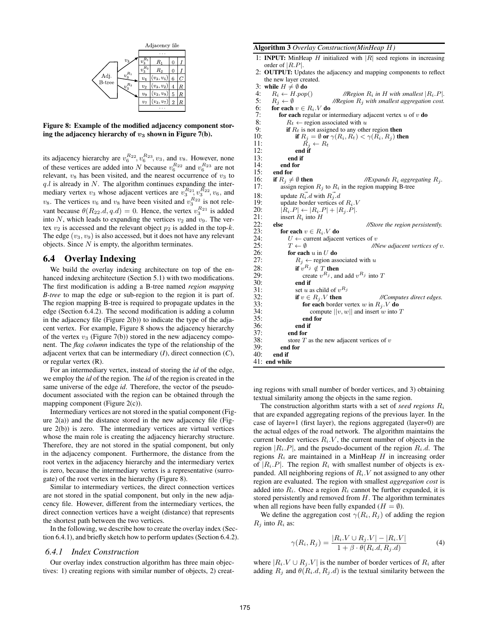

**Figure 8: Example of the modified adjacency component stor**ing the adjacency hierarchy of  $v_3$  shown in Figure 7(b).

its adjacency hierarchy are  $v_6^{R_{22}}$ ,  $v_6^{R_{23}}$ ,  $v_3$ , and  $v_8$ . However, none of these vertices are added into N because  $v_6^{R_{22}}$  and  $v_6^{R_{23}}$  are not relevant,  $v_8$  has been visited, and the nearest occurrence of  $v_3$  to  $q.l$  is already in  $N$ . The algorithm continues expanding the intermediary vertex  $v_3$  whose adjacent vertices are  $\hat{v}_3^{R_{21}}$ ,  $v_3^{R_{22}}$ ,  $v_6$ , and  $v_8$ . The vertices  $v_6$  and  $v_8$  have been visited and  $v_3^{R_{22}}$  is not relevant because  $\theta(R_{22}.d, q.d) = 0$ . Hence, the vertex  $v_3^{R_{21}}$  is added into  $N$ , which leads to expanding the vertices  $v_2$  and  $v_9$ . The vertex  $v_2$  is accessed and the relevant object  $p_2$  is added in the top-k. The edge  $(v_3, v_9)$  is also accessed, but it does not have any relevant objects. Since  $N$  is empty, the algorithm terminates.

# **6.4 Overlay Indexing**

We build the overlay indexing architecture on top of the enhanced indexing architecture (Section 5.1) with two modifications. The first modification is adding a B-tree named *region mapping B-tree* to map the edge or sub-region to the region it is part of. The region mapping B-tree is required to propagate updates in the edge (Section 6.4.2). The second modification is adding a column in the adjacency file (Figure 2(b)) to indicate the type of the adjacent vertex. For example, Figure 8 shows the adjacency hierarchy of the vertex  $v_3$  (Figure 7(b)) stored in the new adjacency component. The *flag column* indicates the type of the relationship of the adjacent vertex that can be intermediary (*I*), direct connection (*C*), or regular vertex (R).

For an intermediary vertex, instead of storing the *id* of the edge, we employ the *id* of the region. The *id* of the region is created in the same universe of the edge *id*. Therefore, the vector of the pseudodocument associated with the region can be obtained through the mapping component (Figure 2(c)).

Intermediary vertices are not stored in the spatial component (Figure  $2(a)$ ) and the distance stored in the new adjacency file (Figure 2(b)) is zero. The intermediary vertices are virtual vertices whose the main role is creating the adjacency hierarchy structure. Therefore, they are not stored in the spatial component, but only in the adjacency component. Furthermore, the distance from the root vertex in the adjacency hierarchy and the intermediary vertex is zero, because the intermediary vertex is a representative (surrogate) of the root vertex in the hierarchy (Figure 8).

Similar to intermediary vertices, the direct connection vertices are not stored in the spatial component, but only in the new adjacency file. However, different from the intermediary vertices, the direct connection vertices have a weight (distance) that represents the shortest path between the two vertices.

In the following, we describe how to create the overlay index (Section 6.4.1), and briefly sketch how to perform updates (Section 6.4.2).

#### *6.4.1 Index Construction*

Our overlay index construction algorithm has three main objectives: 1) creating regions with similar number of objects, 2) creat-

| Algorithm 3 Overlay Construction(MinHeap H) |                                                                                |  |  |  |  |
|---------------------------------------------|--------------------------------------------------------------------------------|--|--|--|--|
|                                             | 1: <b>INPUT:</b> MinHeap $H$ initialized with $ R $ seed regions in increasing |  |  |  |  |
|                                             | order of $ R.P $ .                                                             |  |  |  |  |
|                                             | 2: OUTPUT: Updates the adjacency and mapping components to reflect             |  |  |  |  |
|                                             | the new layer created.                                                         |  |  |  |  |
| 3:                                          | while $H \neq \emptyset$ do                                                    |  |  |  |  |
| 4:                                          | //Region $R_i$ in H with smallest $ R_i.P $ .<br>$R_i \leftarrow H.pop()$      |  |  |  |  |
| 5:                                          | $R_i \leftarrow \emptyset$<br>//Region $R_i$ with smallest aggregation cost.   |  |  |  |  |
| 6:                                          | for each $v \in R_i$ . <i>V</i> do                                             |  |  |  |  |
| 7:                                          | for each regular or intermediary adjacent vertex $u$ of $v$ do                 |  |  |  |  |
| 8:                                          | $R_t \leftarrow$ region associated with u                                      |  |  |  |  |
| 9:                                          | if $R_t$ is not assigned to any other region then                              |  |  |  |  |
| 10:                                         | if $R_j = \emptyset$ or $\gamma(R_i, R_t) < \gamma(R_i, R_j)$ then             |  |  |  |  |
| 11:                                         | $R_i \leftarrow R_t$                                                           |  |  |  |  |
| 12:                                         | end if                                                                         |  |  |  |  |
| 13:                                         | end if                                                                         |  |  |  |  |
| 14:                                         | end for                                                                        |  |  |  |  |
| 15:                                         | end for                                                                        |  |  |  |  |
| 16:                                         | if $R_i \neq \emptyset$ then<br>//Expands $R_i$ aggregating $R_i$ .            |  |  |  |  |
| 17:                                         | assign region $R_j$ to $R_i$ in the region mapping B-tree                      |  |  |  |  |
| 18:                                         | update $R_i$ .d with $R_i$ .d                                                  |  |  |  |  |
| 19:                                         | update border vertices of $R_i$ . V                                            |  |  |  |  |
| 20:                                         | $ R_i.P  \leftarrow  R_i.P  +  R_j.P .$                                        |  |  |  |  |
| 21:                                         | insert $R_i$ into $H$                                                          |  |  |  |  |
| 22:                                         | else<br>//Store the region persistently.                                       |  |  |  |  |
| 23:                                         | for each $v \in R_i$ . V do                                                    |  |  |  |  |
| 24:                                         | $U \leftarrow$ current adjacent vertices of v                                  |  |  |  |  |
| 25:                                         | $T \leftarrow \emptyset$<br>//New adjacent vertices of $v$ .                   |  |  |  |  |
| 26:                                         | for each $u$ in $U$ do                                                         |  |  |  |  |
| 27:                                         | $R_i \leftarrow$ region associated with u                                      |  |  |  |  |
| 28:                                         | if $v^{R_j} \notin T$ then                                                     |  |  |  |  |
| 29:                                         | create $v^{R_j}$ , and add $v^{R_j}$ into T                                    |  |  |  |  |
| 30:                                         | end if                                                                         |  |  |  |  |
| 31:                                         | set u as child of $v^{R_j}$                                                    |  |  |  |  |
| 32:                                         | if $v \in R_j$ . V then<br>//Computes direct edges.                            |  |  |  |  |
| 33:                                         | for each border vertex $w$ in $R_j$ . $V$ do                                   |  |  |  |  |
| 34:                                         | compute $  v, w  $ and insert w into T                                         |  |  |  |  |
| 35:                                         | end for                                                                        |  |  |  |  |
| 36:                                         | end if                                                                         |  |  |  |  |
| 37:                                         | end for                                                                        |  |  |  |  |
| 38:                                         | store $T$ as the new adjacent vertices of $v$                                  |  |  |  |  |
| 39:                                         | end for                                                                        |  |  |  |  |
| 40:                                         | end if                                                                         |  |  |  |  |
|                                             | 41: end while                                                                  |  |  |  |  |
|                                             |                                                                                |  |  |  |  |

ing regions with small number of border vertices, and 3) obtaining textual similarity among the objects in the same region.

The construction algorithm starts with a set of *seed regions* R<sup>i</sup> that are expanded aggregating regions of the previous layer. In the case of layer=1 (first layer), the regions aggregated (layer=0) are the actual edges of the road network. The algorithm maintains the current border vertices  $R_i.V$ , the current number of objects in the region  $|R_i.P|$ , and the pseudo-document of the region  $R_i.d$ . The regions  $R_i$  are maintained in a MinHeap  $H$  in increasing order of  $|R_i.P|$ . The region  $R_i$  with smallest number of objects is expanded. All neighboring regions of  $R_i$ . V not assigned to any other region are evaluated. The region with smallest *aggregation cost* is added into  $R_i$ . Once a region  $R_i$  cannot be further expanded, it is stored persistently and removed from  $H$ . The algorithm terminates when all regions have been fully expanded ( $H = \emptyset$ ).

We define the aggregation cost  $\gamma(R_i, R_j)$  of adding the region  $R_i$  into  $R_i$  as:

$$
\gamma(R_i, R_j) = \frac{|R_i.V \cup R_j.V| - |R_i.V|}{1 + \beta \cdot \theta(R_i.d, R_j.d)} \tag{4}
$$

where  $|R_i \cdot V \cup R_j \cdot V|$  is the number of border vertices of  $R_i$  after adding  $R_j$  and  $\theta(R_i.d, R_j.d)$  is the textual similarity between the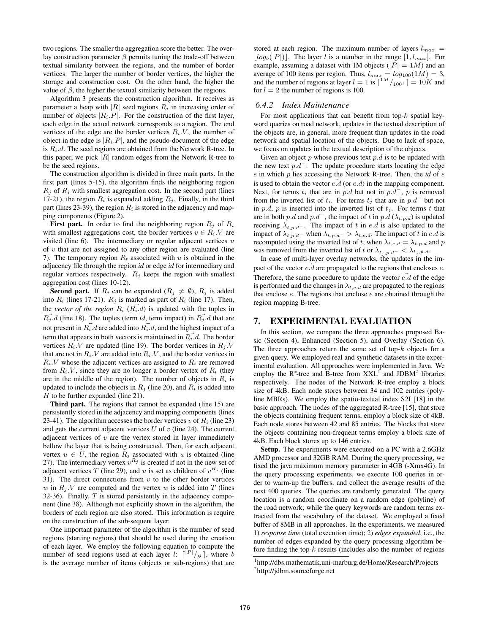two regions. The smaller the aggregation score the better. The overlay construction parameter  $\beta$  permits tuning the trade-off between textual similarity between the regions, and the number of border vertices. The larger the number of border vertices, the higher the storage and construction cost. On the other hand, the higher the value of  $\beta$ , the higher the textual similarity between the regions.

Algorithm 3 presents the construction algorithm. It receives as parameter a heap with |R| seed regions  $R_i$  in increasing order of number of objects  $|R_i.P|$ . For the construction of the first layer, each edge in the actual network corresponds to a region. The end vertices of the edge are the border vertices  $R_i$ . V, the number of object in the edge is  $|R_i.P|$ , and the pseudo-document of the edge is  $R_i.d$ . The seed regions are obtained from the Network R-tree. In this paper, we pick  $|R|$  random edges from the Network R-tree to be the seed regions.

The construction algorithm is divided in three main parts. In the first part (lines 5-15), the algorithm finds the neighboring region  $R_i$  of  $R_i$  with smallest aggregation cost. In the second part (lines 17-21), the region  $R_i$  is expanded adding  $R_i$ . Finally, in the third part (lines 23-39), the region  $R_i$  is stored in the adjacency and mapping components (Figure 2).

**First part.** In order to find the neighboring region  $R_j$  of  $R_i$ with smallest aggregations cost, the border vertices  $v \in R_i$ . V are visited (line 6). The intermediary or regular adjacent vertices  $u$ of  $v$  that are not assigned to any other region are evaluated (line 7). The temporary region  $R_t$  associated with u is obtained in the adjacency file through the region *id* or edge *id* for intermediary and regular vertices respectively.  $R_i$  keeps the region with smallest aggregation cost (lines 10-12).

**Second part.** If  $R_i$  can be expanded  $(R_i \neq \emptyset)$ ,  $R_i$  is added into  $R_i$  (lines 17-21).  $R_j$  is marked as part of  $R_i$  (line 17). Then, the *vector of the region*  $R_i$  ( $R_i$ *d*) is updated with the tuples in  $\vec{R_j}$  d (line 18). The tuples (term *id*, term impact) in  $\vec{R_j}$  d that are not present in  $\overrightarrow{R_i}$ .d are added into  $\overrightarrow{R_i}$ .d, and the highest impact of a term that appears in both vectors is maintained in  $R_i$ .d. The border vertices  $R_i$ . V are updated (line 19). The border vertices in  $R_i$ . V that are not in  $R_i$ . V are added into  $R_i$ . V, and the border vertices in  $R_i$ . V whose the adjacent vertices are assigned to  $R_i$  are removed from  $R_i$ .V, since they are no longer a border vertex of  $R_i$  (they are in the middle of the region). The number of objects in  $R_i$  is updated to include the objects in  $R_i$  (line 20), and  $R_i$  is added into  $H$  to be further expanded (line 21).

**Third part.** The regions that cannot be expanded (line 15) are persistently stored in the adjacency and mapping components (lines 23-41). The algorithm accesses the border vertices  $v$  of  $R_i$  (line 23) and gets the current adjacent vertices  $U$  of  $v$  (line 24). The current adjacent vertices of  $v$  are the vertex stored in layer immediately bellow the layer that is being constructed. Then, for each adjacent vertex  $u \in U$ , the region  $R_j$  associated with u is obtained (line 27). The intermediary vertex  $v^{R_j}$  is created if not in the new set of adjacent vertices T (line 29), and u is set as children of  $v^{R_j}$  (line 31). The direct connections from  $v$  to the other border vertices w in  $R_j$ . V are computed and the vertex w is added into T (lines 32-36). Finally,  $T$  is stored persistently in the adjacency component (line 38). Although not explicitly shown in the algorithm, the borders of each region are also stored. This information is require on the construction of the sub-sequent layer.

One important parameter of the algorithm is the number of seed regions (starting regions) that should be used during the creation of each layer. We employ the following equation to compute the number of seed regions used at each layer l:  $\int_{b}^{|P|} /_{b}$ , where b is the average number of items (objects or sub-regions) that are stored at each region. The maximum number of layers  $l_{max}$  =  $|log_b(|P|)|$ . The layer l is a number in the range  $[1, l_{max}]$ . For example, assuming a dataset with 1M objects ( $|P| = 1M$ ) and an average of 100 items per region. Thus,  $l_{max} = log_{100}(1M) = 3$ , and the number of regions at layer  $l = 1$  is  $\lceil {^{1M}}/{_{100^1}} \rceil = 10K$  and for  $l = 2$  the number of regions is 100.

#### *6.4.2 Index Maintenance*

For most applications that can benefit from top- $k$  spatial keyword queries on road network, updates in the textual description of the objects are, in general, more frequent than updates in the road network and spatial location of the objects. Due to lack of space, we focus on updates in the textual description of the objects.

Given an object  $p$  whose previous text  $p.d$  is to be updated with the new text  $p.d^-$ . The update procedure starts locating the edge e in which p lies accessing the Network R-tree. Then, the *id* of e is used to obtain the vector  $\vec{e}$ . (or e.d) in the mapping component. Next, for terms  $t_i$  that are in p.d but not in p.d<sup>-</sup>, p is removed from the inverted list of  $t_i$ . For terms  $t_j$  that are in  $p.d^-$  but not in p.d, p is inserted into the inverted list of  $t_i$ . For terms t that are in both p.d and p.d<sup>-</sup>, the impact of t in p.d ( $\lambda_{t,p,d}$ ) is updated receiving  $\lambda_{t,p,d}$ -. The impact of t in e.d is also updated to the impact of  $\lambda_{t,p,d}$ – when  $\lambda_{t,p,d}$ – >  $\lambda_{t,e,d}$ . The impact of t in e.d is recomputed using the inverted list of t, when  $\lambda_{t,e,d} = \lambda_{t,p,d}$  and p was removed from the inverted list of t or  $\lambda_{t_j,p.d^-} < \lambda_{t_j,p.d}$ .

In case of multi-layer overlay networks, the updates in the impact of the vector  $\vec{e} \cdot \vec{d}$  are propagated to the regions that encloses  $e$ . Therefore, the same procedure to update the vector  $\vec{e} \cdot \vec{d}$  of the edge is performed and the changes in  $\lambda_{t,e,d}$  are propagated to the regions that enclose e. The regions that enclose e are obtained through the region mapping B-tree.

#### **7. EXPERIMENTAL EVALUATION**

In this section, we compare the three approaches proposed Basic (Section 4), Enhanced (Section 5), and Overlay (Section 6). The three approaches return the same set of top- $k$  objects for a given query. We employed real and synthetic datasets in the experimental evaluation. All approaches were implemented in Java. We employ the R<sup>\*</sup>-tree and B-tree from  $XXL<sup>T</sup>$  and JDBM<sup>2</sup> libraries respectively. The nodes of the Network R-tree employ a block size of 4kB. Each node stores between 34 and 102 entries (polyline MBRs). We employ the spatio-textual index S2I [18] in the basic approach. The nodes of the aggregated R-tree [15], that store the objects containing frequent terms, employ a block size of 4kB. Each node stores between 42 and 85 entries. The blocks that store the objects containing non-frequent terms employ a block size of 4kB. Each block stores up to 146 entries.

**Setup.** The experiments were executed on a PC with a 2.6GHz AMD processor and 32GB RAM. During the query processing, we fixed the java maximum memory parameter in 4GB (-Xmx4G). In the query processing experiments, we execute 100 queries in order to warm-up the buffers, and collect the average results of the next 400 queries. The queries are randomly generated. The query location is a random coordinate on a random edge (polyline) of the road network; while the query keywords are random terms extracted from the vocabulary of the dataset. We employed a fixed buffer of 8MB in all approaches. In the experiments, we measured 1) *response time* (total execution time); 2) *edges expanded*, i.e., the number of edges expanded by the query processing algorithm before finding the top- $k$  results (includes also the number of regions

<sup>1</sup> http://dbs.mathematik.uni-marburg.de/Home/Research/Projects <sup>2</sup>http://jdbm.sourceforge.net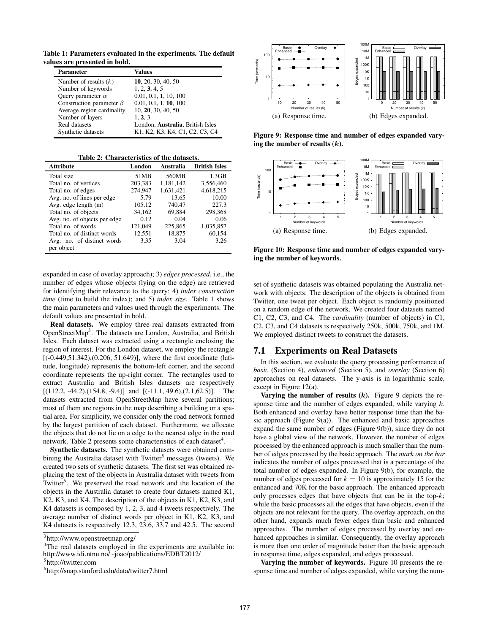**Table 1: Parameters evaluated in the experiments. The default values are presented in bold.**

| <b>Parameter</b>               | Values                           |
|--------------------------------|----------------------------------|
| Number of results $(k)$        | 10, 20, 30, 40, 50               |
| Number of keywords             | 1, 2, 3, 4, 5                    |
| Query parameter $\alpha$       | 0.01, 0.1, 1, 10, 100            |
| Construction parameter $\beta$ | 0.01, 0.1, 1, 10, 100            |
| Average region cardinality     | 10, 20, 30, 40, 50               |
| Number of layers               | 1, 2, 3                          |
| Real datasets                  | London, Australia, British Isles |
| Synthetic datasets             | K1, K2, K3, K4, C1, C2, C3, C4   |

**Table 2: Characteristics of the datasets.**

| <b>Attribute</b>             | London  | <b>Australia</b> | <b>British Isles</b> |
|------------------------------|---------|------------------|----------------------|
| Total size                   | 51MB    | 560MB            | 1.3GB                |
| Total no. of vertices        | 203,383 | 1,181,142        | 3.556.460            |
| Total no. of edges           | 274,947 | 1.631.421        | 4,618,215            |
| Avg. no. of lines per edge   | 5.79    | 13.65            | 10.00                |
| Avg. edge length $(m)$       | 105.12  | 740.47           | 227.3                |
| Total no. of objects         | 34.162  | 69.884           | 298,368              |
| Avg. no. of objects per edge | 0.12    | 0.04             | 0.06                 |
| Total no. of words           | 121,049 | 225,865          | 1,035,857            |
| Total no. of distinct words  | 12.551  | 18,875           | 60.154               |
| Avg. no. of distinct words   | 3.35    | 3.04             | 3.26                 |
| per object                   |         |                  |                      |

expanded in case of overlay approach); 3) *edges processed*, i.e., the number of edges whose objects (lying on the edge) are retrieved for identifying their relevance to the query; 4) *index construction time* (time to build the index); and 5) *index size*. Table 1 shows the main parameters and values used through the experiments. The default values are presented in bold.

**Real datasets.** We employ three real datasets extracted from OpenStreetMap<sup>3</sup>. The datasets are London, Australia, and British Isles. Each dataset was extracted using a rectangle enclosing the region of interest. For the London dataset, we employ the rectangle  $[(-0.449, 51.342), (0.206, 51.649)]$ , where the first coordinate (latitude, longitude) represents the bottom-left corner, and the second coordinate represents the up-right corner. The rectangles used to extract Australia and British Isles datasets are respectively  $[(112.2, -44.2), (154.8, -9.4)]$  and  $[(-11.1, 49.6), (2.1, 62.5)].$  The datasets extracted from OpenStreetMap have several partitions; most of them are regions in the map describing a building or a spatial area. For simplicity, we consider only the road network formed by the largest partition of each dataset. Furthermore, we allocate the objects that do not lie on a edge to the nearest edge in the road network. Table 2 presents some characteristics of each dataset<sup>4</sup>.

**Synthetic datasets.** The synthetic datasets were obtained combining the Australia dataset with Twitter<sup>5</sup> messages (tweets). We created two sets of synthetic datasets. The first set was obtained replacing the text of the objects in Australia dataset with tweets from Twitter<sup>6</sup>. We preserved the road network and the location of the objects in the Australia dataset to create four datasets named K1, K2, K3, and K4. The description of the objects in K1, K2, K3, and K4 datasets is composed by 1, 2, 3, and 4 tweets respectively. The average number of distinct words per object in K1, K2, K3, and K4 datasets is respectively 12.3, 23.6, 33.7 and 42.5. The second



**Figure 9: Response time and number of edges expanded varying the number of results (**k**).**



**Figure 10: Response time and number of edges expanded varying the number of keywords.**

set of synthetic datasets was obtained populating the Australia network with objects. The description of the objects is obtained from Twitter, one tweet per object. Each object is randomly positioned on a random edge of the network. We created four datasets named C1, C2, C3, and C4. The *cardinality* (number of objects) in C1, C2, C3, and C4 datasets is respectively 250k, 500k, 750k, and 1M. We employed distinct tweets to construct the datasets.

#### **7.1 Experiments on Real Datasets**

In this section, we evaluate the query processing performance of *basic* (Section 4), *enhanced* (Section 5), and *overlay* (Section 6) approaches on real datasets. The y-axis is in logarithmic scale, except in Figure 12(a).

**Varying the number of results**  $(k)$ **. Figure 9 depicts the re**sponse time and the number of edges expanded, while varying  $k$ . Both enhanced and overlay have better response time than the basic approach (Figure  $9(a)$ ). The enhanced and basic approaches expand the same number of edges (Figure 9(b)), since they do not have a global view of the network. However, the number of edges processed by the enhanced approach is much smaller than the number of edges processed by the basic approach. The *mark on the bar* indicates the number of edges processed that is a percentage of the total number of edges expanded. In Figure 9(b), for example, the number of edges processed for  $k = 10$  is approximately 15 for the enhanced and 70K for the basic approach. The enhanced approach only processes edges that have objects that can be in the top- $k$ ; while the basic processes all the edges that have objects, even if the objects are not relevant for the query. The overlay approach, on the other hand, expands much fewer edges than basic and enhanced approaches. The number of edges processed by overlay and enhanced approaches is similar. Consequently, the overlay approach is more than one order of magnitude better than the basic approach in response time, edges expanded, and edges processed.

**Varying the number of keywords.** Figure 10 presents the response time and number of edges expanded, while varying the num-

<sup>3</sup> http://www.openstreetmap.org/

<sup>&</sup>lt;sup>4</sup>The real datasets employed in the experiments are available in: http://www.idi.ntnu.no/~joao/publications/EDBT2012/

<sup>5</sup> http://twitter.com

<sup>6</sup> http://snap.stanford.edu/data/twitter7.html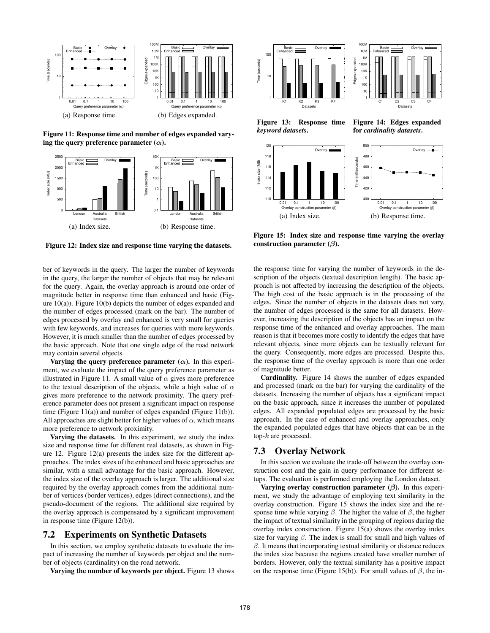

**Figure 11: Response time and number of edges expanded vary**ing the query preference parameter  $(\alpha)$ .



**Figure 12: Index size and response time varying the datasets.**

ber of keywords in the query. The larger the number of keywords in the query, the larger the number of objects that may be relevant for the query. Again, the overlay approach is around one order of magnitude better in response time than enhanced and basic (Figure 10(a)). Figure 10(b) depicts the number of edges expanded and the number of edges processed (mark on the bar). The number of edges processed by overlay and enhanced is very small for queries with few keywords, and increases for queries with more keywords. However, it is much smaller than the number of edges processed by the basic approach. Note that one single edge of the road network may contain several objects.

**Varying the query preference parameter**  $(\alpha)$ **.** In this experiment, we evaluate the impact of the query preference parameter as illustrated in Figure 11. A small value of  $\alpha$  gives more preference to the textual description of the objects, while a high value of  $\alpha$ gives more preference to the network proximity. The query preference parameter does not present a significant impact on response time (Figure 11(a)) and number of edges expanded (Figure 11(b)). All approaches are slight better for higher values of  $\alpha$ , which means more preference to network proximity.

**Varying the datasets.** In this experiment, we study the index size and response time for different real datasets, as shown in Figure 12. Figure 12(a) presents the index size for the different approaches. The index sizes of the enhanced and basic approaches are similar, with a small advantage for the basic approach. However, the index size of the overlay approach is larger. The additional size required by the overlay approach comes from the additional number of vertices (border vertices), edges (direct connections), and the pseudo-document of the regions. The additional size required by the overlay approach is compensated by a significant improvement in response time (Figure 12(b)).

#### **7.2 Experiments on Synthetic Datasets**

In this section, we employ synthetic datasets to evaluate the impact of increasing the number of keywords per object and the number of objects (cardinality) on the road network.

**Varying the number of keywords per object.** Figure 13 shows



**Figure 13: Response time** *keyword datasets***.**



**Figure 14: Edges expanded for** *cardinality datasets***.**

**Figure 15: Index size and response time varying the overlay construction parameter (**β**).**

the response time for varying the number of keywords in the description of the objects (textual description length). The basic approach is not affected by increasing the description of the objects. The high cost of the basic approach is in the processing of the edges. Since the number of objects in the datasets does not vary, the number of edges processed is the same for all datasets. However, increasing the description of the objects has an impact on the response time of the enhanced and overlay approaches. The main reason is that it becomes more costly to identify the edges that have relevant objects, since more objects can be textually relevant for the query. Consequently, more edges are processed. Despite this, the response time of the overlay approach is more than one order of magnitude better.

**Cardinality.** Figure 14 shows the number of edges expanded and processed (mark on the bar) for varying the cardinality of the datasets. Increasing the number of objects has a significant impact on the basic approach, since it increases the number of populated edges. All expanded populated edges are processed by the basic approach. In the case of enhanced and overlay approaches, only the expanded populated edges that have objects that can be in the top- $k$  are processed.

#### **7.3 Overlay Network**

In this section we evaluate the trade-off between the overlay construction cost and the gain in query performance for different setups. The evaluation is performed employing the London dataset.

**Varying overlay construction parameter**  $(\beta)$ **.** In this experiment, we study the advantage of employing text similarity in the overlay construction. Figure 15 shows the index size and the response time while varying  $\beta$ . The higher the value of  $\beta$ , the higher the impact of textual similarity in the grouping of regions during the overlay index construction. Figure 15(a) shows the overlay index size for varying  $\beta$ . The index is small for small and high values of  $\beta$ . It means that incorporating textual similarity or distance reduces the index size because the regions created have smaller number of borders. However, only the textual similarity has a positive impact on the response time (Figure 15(b)). For small values of  $\beta$ , the in-